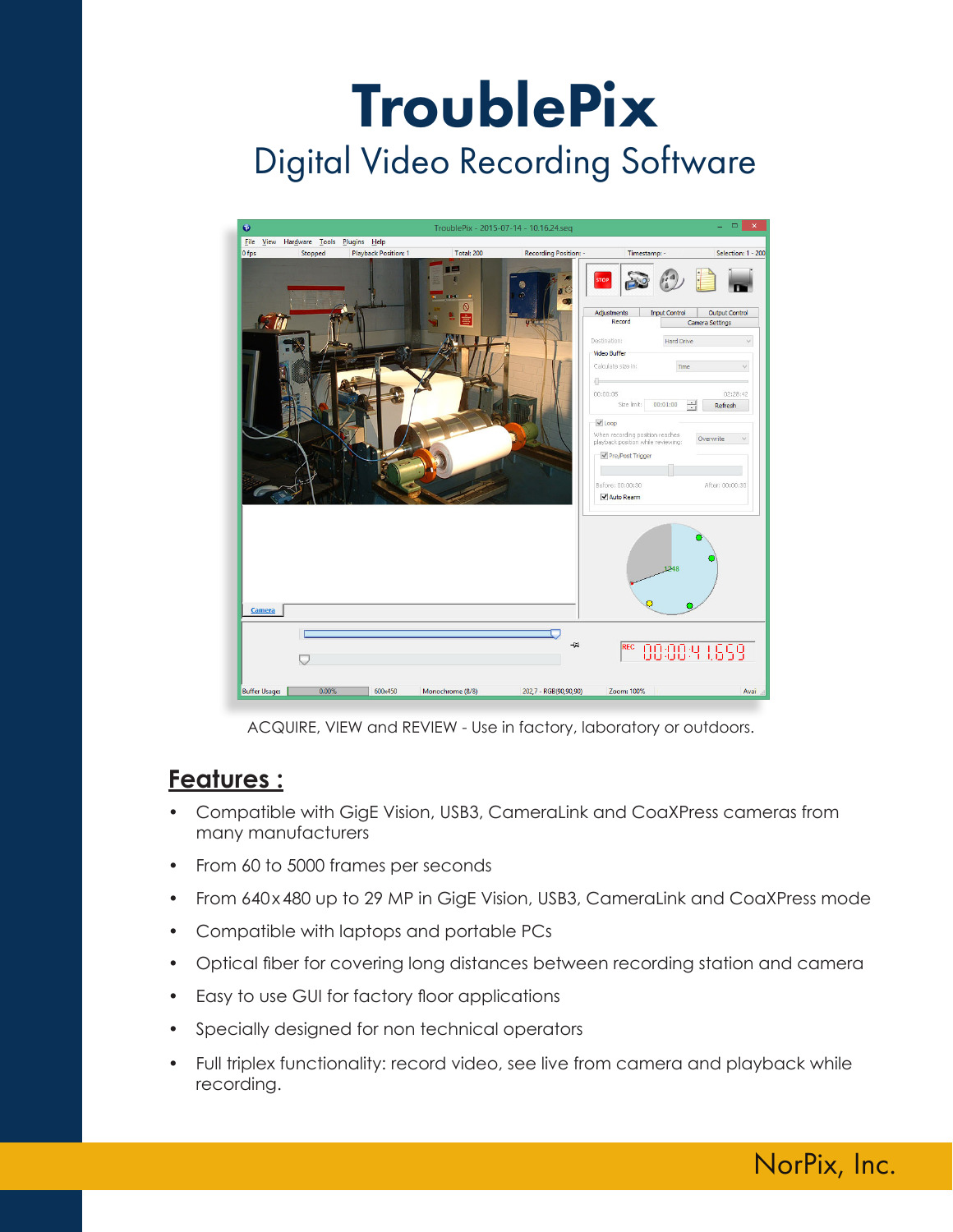

ACQUIRE, VIEW and REVIEW - Use in factory, laboratory or outdoors.

# **Features :**

- Compatible with GigE Vision, USB3, CameraLink and CoaXPress cameras from many manufacturers
- From 60 to 5000 frames per seconds
- From 640x480 up to 29 MP in GigE Vision, USB3, CameraLink and CoaXPress mode
- Compatible with laptops and portable PCs
- Optical fiber for covering long distances between recording station and camera
- Easy to use GUI for factory floor applications
- Specially designed for non technical operators
- Full triplex functionality: record video, see live from camera and playback while recording.

NorPix, Inc.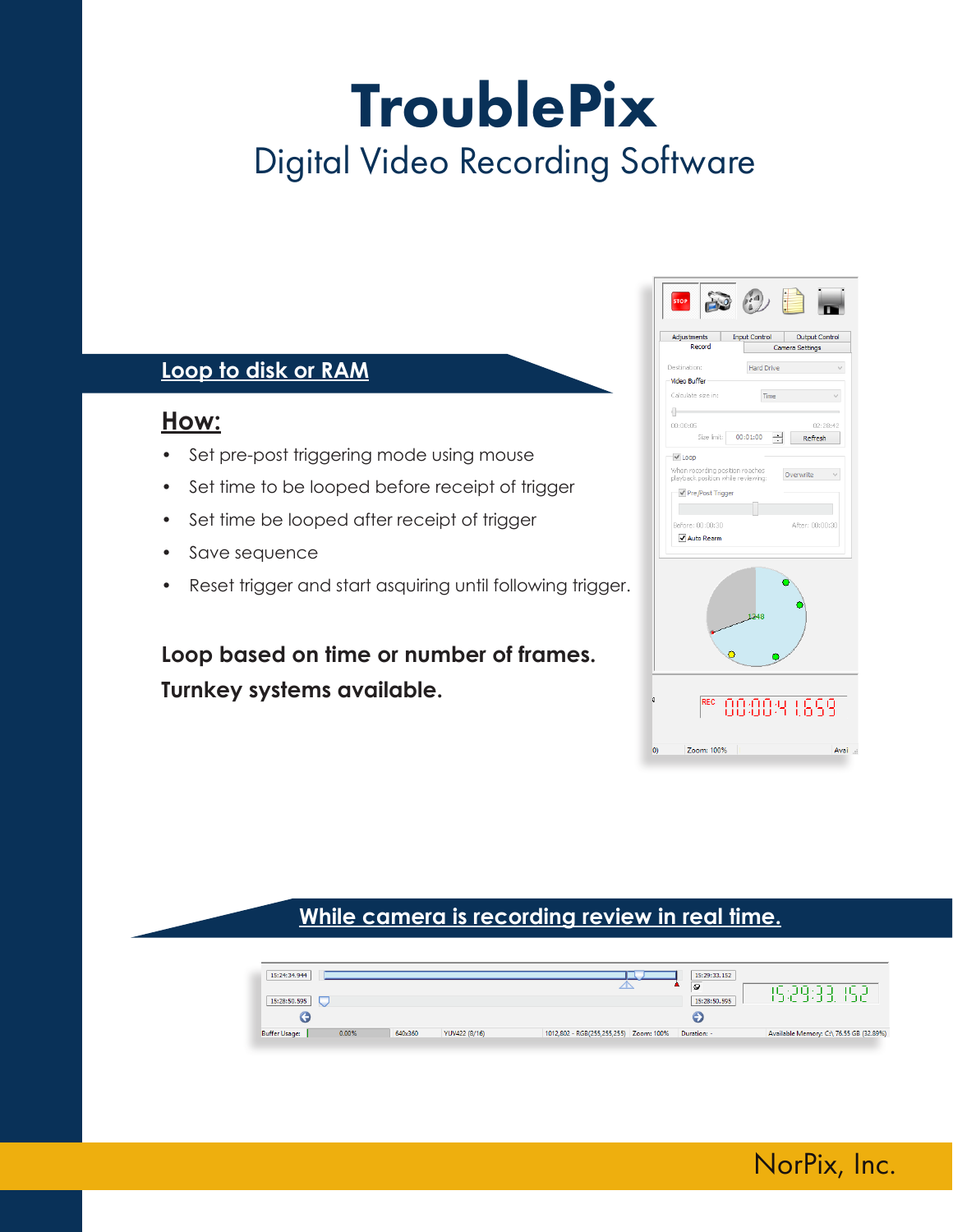# **Loop to disk or RAM**

### **How:**

- Set pre-post triggering mode using mouse
- Set time to be looped before receipt of trigger
- Set time be looped after receipt of trigger
- Save sequence
- Reset trigger and start asquiring until following trigger.

**Loop based on time or number of frames. Turnkey systems available.**

| Adjustments<br>Record              | <b>Input Control</b> | Output Control<br>Camera Settings |
|------------------------------------|----------------------|-----------------------------------|
| Destination:                       | <b>Hard Drive</b>    |                                   |
| Video Buffer                       |                      |                                   |
| Calculate size in:                 | Time                 |                                   |
| ⊪                                  |                      |                                   |
| 00:00:05                           |                      | 02:28:42                          |
| Size limit:                        | 00:01:00             | Refresh                           |
| $\vee$ Loop                        |                      |                                   |
| When recording position reaches    |                      | Overwrite                         |
| playback position while reviewing: |                      |                                   |
| √ Pre/Post Trigger                 |                      |                                   |
|                                    |                      |                                   |
| Before: 00:00:30                   |                      | After: 00:00:30                   |
| Auto Rearm                         |                      |                                   |
|                                    | 1248                 |                                   |
|                                    |                      | 88884 1899                        |

NorPix, Inc.

### **While camera is recording review in real time.**

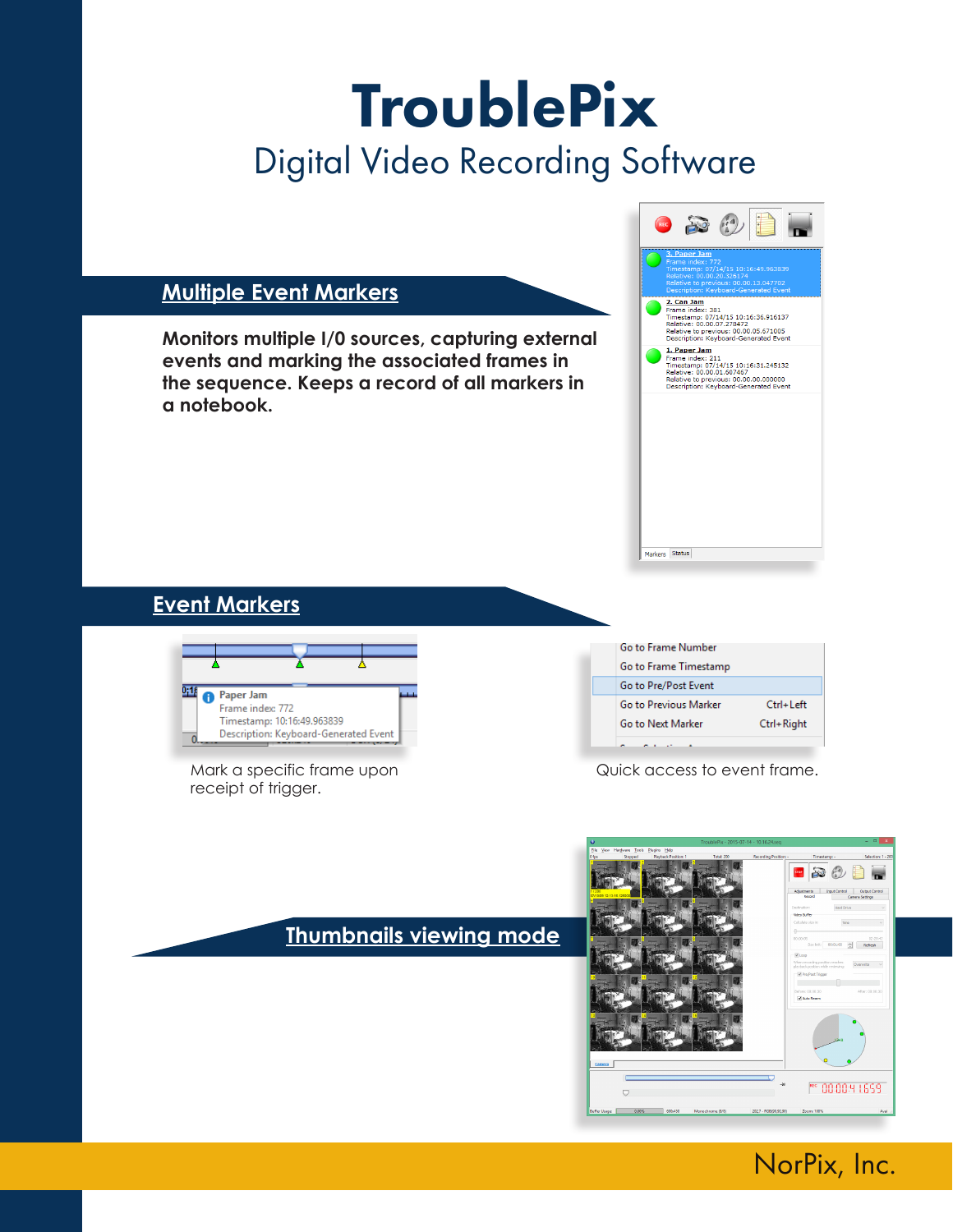#### **Multiple Event Markers**

**Monitors multiple I/0 sources, capturing external events and marking the associated frames in the sequence. Keeps a record of all markers in a notebook.**



### **Event Markers**



Mark a specific frame upon receipt of trigger.

| Go to Frame Number    |               |
|-----------------------|---------------|
| Go to Frame Timestamp |               |
| Go to Pre/Post Event  |               |
| Go to Previous Marker | $Ctrl + Left$ |
| Go to Next Marker     | Ctrl+Right    |
|                       |               |

Quick access to event frame.

### **Thumbnails viewing mode**



# NorPix, Inc.